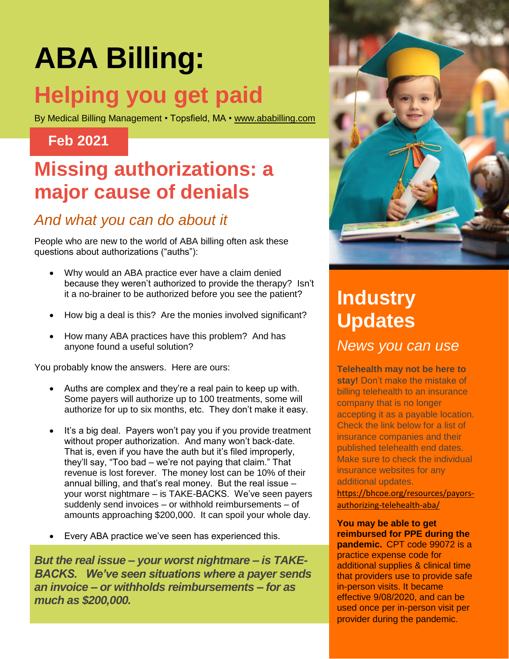# **ABA Billing: Helping you get paid**

By Medical Billing Management • Topsfield, MA • [www.ababilling.com](http://www.ababilling.com/)

#### **Feb 2021**

## **Missing authorizations: a major cause of denials**

### *And what you can do about it*

People who are new to the world of ABA billing often ask these questions about authorizations ("auths"):

- Why would an ABA practice ever have a claim denied because they weren't authorized to provide the therapy? Isn't it a no-brainer to be authorized before you see the patient?
- How big a deal is this? Are the monies involved significant?
- How many ABA practices have this problem? And has anyone found a useful solution?

You probably know the answers. Here are ours:

- Auths are complex and they're a real pain to keep up with. Some payers will authorize up to 100 treatments, some will authorize for up to six months, etc. They don't make it easy.
- It's a big deal. Payers won't pay you if you provide treatment without proper authorization. And many won't back-date. That is, even if you have the auth but it's filed improperly, they'll say, "Too bad – we're not paying that claim." That revenue is lost forever. The money lost can be 10% of their annual billing, and that's real money. But the real issue – your worst nightmare – is TAKE-BACKS. We've seen payers suddenly send invoices – or withhold reimbursements – of amounts approaching \$200,000. It can spoil your whole day.
- Every ABA practice we've seen has experienced this.

*But the real issue – your worst nightmare – is TAKE-BACKS. We've seen situations where a payer sends an invoice – or withholds reimbursements – for as much as \$200,000.*



# **Industry Updates**

*News you can use*

**Telehealth may not be here to stay!** Don't make the mistake of billing telehealth to an insurance company that is no longer accepting it as a payable location. Check the link below for a list of insurance companies and their published telehealth end dates. Make sure to check the individual insurance websites for any additional updates.

[https://bhcoe.org/resources/payors](https://bhcoe.org/resources/payors-authorizing-telehealth-aba/)[authorizing-telehealth-aba/](https://bhcoe.org/resources/payors-authorizing-telehealth-aba/)

**You may be able to get reimbursed for PPE during the pandemic.** CPT code 99072 is a practice expense code for additional supplies & clinical time that providers use to provide safe in-person visits. It became effective 9/08/2020, and can be used once per in-person visit per provider during the pandemic.